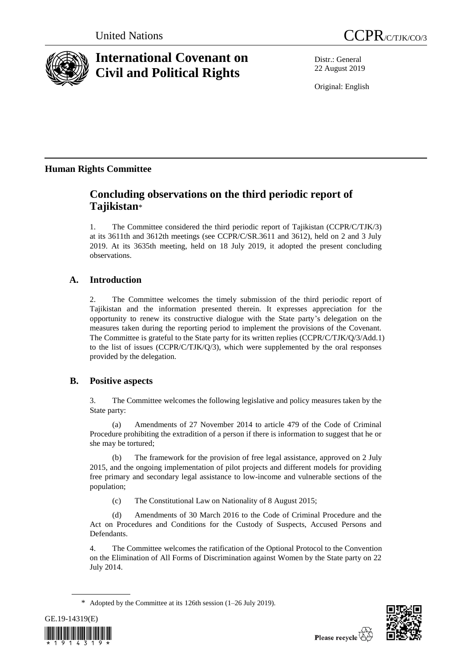

# **International Covenant on Civil and Political Rights**

Distr.: General 22 August 2019

Original: English

## **Human Rights Committee**

## **Concluding observations on the third periodic report of Tajikistan**\*

1. The Committee considered the third periodic report of Tajikistan (CCPR/C/TJK/3) at its 3611th and 3612th meetings (see CCPR/C/SR.3611 and 3612), held on 2 and 3 July 2019. At its 3635th meeting, held on 18 July 2019, it adopted the present concluding observations.

## **A. Introduction**

2. The Committee welcomes the timely submission of the third periodic report of Tajikistan and the information presented therein. It expresses appreciation for the opportunity to renew its constructive dialogue with the State party's delegation on the measures taken during the reporting period to implement the provisions of the Covenant. The Committee is grateful to the State party for its written replies (CCPR/C/TJK/Q/3/Add.1) to the list of issues (CCPR/C/TJK/Q/3), which were supplemented by the oral responses provided by the delegation.

## **B. Positive aspects**

3. The Committee welcomes the following legislative and policy measures taken by the State party:

(a) Amendments of 27 November 2014 to article 479 of the Code of Criminal Procedure prohibiting the extradition of a person if there is information to suggest that he or she may be tortured;

(b) The framework for the provision of free legal assistance, approved on 2 July 2015, and the ongoing implementation of pilot projects and different models for providing free primary and secondary legal assistance to low-income and vulnerable sections of the population;

(c) The Constitutional Law on Nationality of 8 August 2015;

(d) Amendments of 30 March 2016 to the Code of Criminal Procedure and the Act on Procedures and Conditions for the Custody of Suspects, Accused Persons and Defendants.

4. The Committee welcomes the ratification of the Optional Protocol to the Convention on the Elimination of All Forms of Discrimination against Women by the State party on 22 July 2014.

\* Adopted by the Committee at its 126th session (1–26 July 2019).



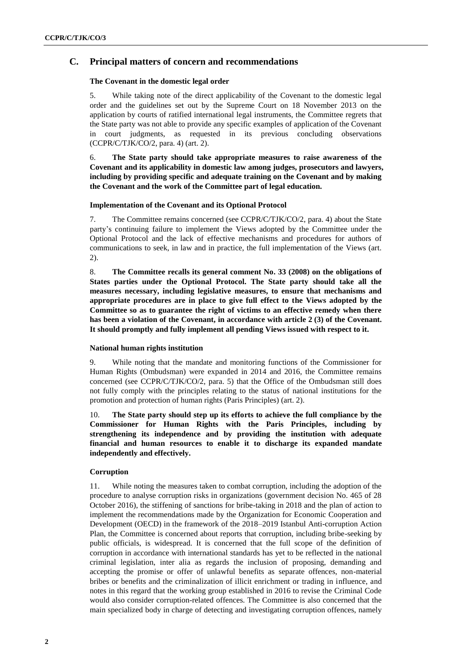## **C. Principal matters of concern and recommendations**

## **The Covenant in the domestic legal order**

5. While taking note of the direct applicability of the Covenant to the domestic legal order and the guidelines set out by the Supreme Court on 18 November 2013 on the application by courts of ratified international legal instruments, the Committee regrets that the State party was not able to provide any specific examples of application of the Covenant in court judgments, as requested in its previous concluding observations (CCPR/C/TJK/CO/2, para. 4) (art. 2).

## 6. **The State party should take appropriate measures to raise awareness of the Covenant and its applicability in domestic law among judges, prosecutors and lawyers, including by providing specific and adequate training on the Covenant and by making the Covenant and the work of the Committee part of legal education.**

## **Implementation of the Covenant and its Optional Protocol**

7. The Committee remains concerned (see CCPR/C/TJK/CO/2, para. 4) about the State party's continuing failure to implement the Views adopted by the Committee under the Optional Protocol and the lack of effective mechanisms and procedures for authors of communications to seek, in law and in practice, the full implementation of the Views (art. 2).

8. **The Committee recalls its general comment No. 33 (2008) on the obligations of States parties under the Optional Protocol. The State party should take all the measures necessary, including legislative measures, to ensure that mechanisms and appropriate procedures are in place to give full effect to the Views adopted by the Committee so as to guarantee the right of victims to an effective remedy when there has been a violation of the Covenant, in accordance with article 2 (3) of the Covenant. It should promptly and fully implement all pending Views issued with respect to it.**

#### **National human rights institution**

9. While noting that the mandate and monitoring functions of the Commissioner for Human Rights (Ombudsman) were expanded in 2014 and 2016, the Committee remains concerned (see CCPR/C/TJK/CO/2, para. 5) that the Office of the Ombudsman still does not fully comply with the principles relating to the status of national institutions for the promotion and protection of human rights (Paris Principles) (art. 2).

10. **The State party should step up its efforts to achieve the full compliance by the Commissioner for Human Rights with the Paris Principles, including by strengthening its independence and by providing the institution with adequate financial and human resources to enable it to discharge its expanded mandate independently and effectively.**

## **Corruption**

11. While noting the measures taken to combat corruption, including the adoption of the procedure to analyse corruption risks in organizations (government decision No. 465 of 28 October 2016), the stiffening of sanctions for bribe-taking in 2018 and the plan of action to implement the recommendations made by the Organization for Economic Cooperation and Development (OECD) in the framework of the 2018–2019 Istanbul Anti-corruption Action Plan, the Committee is concerned about reports that corruption, including bribe-seeking by public officials, is widespread. It is concerned that the full scope of the definition of corruption in accordance with international standards has yet to be reflected in the national criminal legislation, inter alia as regards the inclusion of proposing, demanding and accepting the promise or offer of unlawful benefits as separate offences, non-material bribes or benefits and the criminalization of illicit enrichment or trading in influence, and notes in this regard that the working group established in 2016 to revise the Criminal Code would also consider corruption-related offences. The Committee is also concerned that the main specialized body in charge of detecting and investigating corruption offences, namely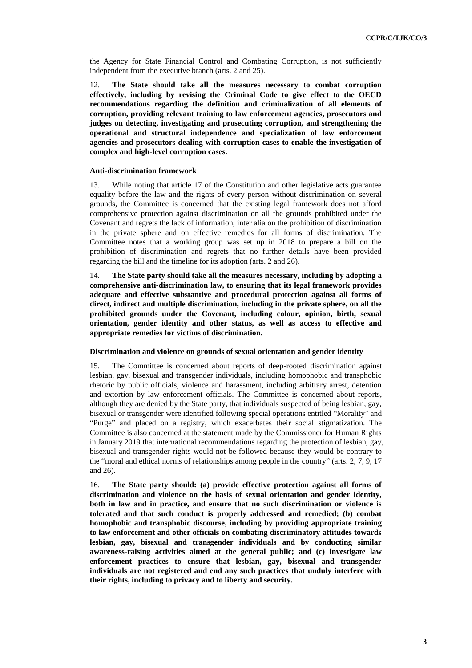the Agency for State Financial Control and Combating Corruption, is not sufficiently independent from the executive branch (arts. 2 and 25).

12. **The State should take all the measures necessary to combat corruption effectively, including by revising the Criminal Code to give effect to the OECD recommendations regarding the definition and criminalization of all elements of corruption, providing relevant training to law enforcement agencies, prosecutors and judges on detecting, investigating and prosecuting corruption, and strengthening the operational and structural independence and specialization of law enforcement agencies and prosecutors dealing with corruption cases to enable the investigation of complex and high-level corruption cases.**

#### **Anti-discrimination framework**

13. While noting that article 17 of the Constitution and other legislative acts guarantee equality before the law and the rights of every person without discrimination on several grounds, the Committee is concerned that the existing legal framework does not afford comprehensive protection against discrimination on all the grounds prohibited under the Covenant and regrets the lack of information, inter alia on the prohibition of discrimination in the private sphere and on effective remedies for all forms of discrimination. The Committee notes that a working group was set up in 2018 to prepare a bill on the prohibition of discrimination and regrets that no further details have been provided regarding the bill and the timeline for its adoption (arts. 2 and 26).

14. **The State party should take all the measures necessary, including by adopting a comprehensive anti-discrimination law, to ensuring that its legal framework provides adequate and effective substantive and procedural protection against all forms of direct, indirect and multiple discrimination, including in the private sphere, on all the prohibited grounds under the Covenant, including colour, opinion, birth, sexual orientation, gender identity and other status, as well as access to effective and appropriate remedies for victims of discrimination.**

#### **Discrimination and violence on grounds of sexual orientation and gender identity**

15. The Committee is concerned about reports of deep-rooted discrimination against lesbian, gay, bisexual and transgender individuals, including homophobic and transphobic rhetoric by public officials, violence and harassment, including arbitrary arrest, detention and extortion by law enforcement officials. The Committee is concerned about reports, although they are denied by the State party, that individuals suspected of being lesbian, gay, bisexual or transgender were identified following special operations entitled "Morality" and "Purge" and placed on a registry, which exacerbates their social stigmatization. The Committee is also concerned at the statement made by the Commissioner for Human Rights in January 2019 that international recommendations regarding the protection of lesbian, gay, bisexual and transgender rights would not be followed because they would be contrary to the "moral and ethical norms of relationships among people in the country" (arts. 2, 7, 9, 17 and 26).

16. **The State party should: (a) provide effective protection against all forms of discrimination and violence on the basis of sexual orientation and gender identity, both in law and in practice, and ensure that no such discrimination or violence is tolerated and that such conduct is properly addressed and remedied; (b) combat homophobic and transphobic discourse, including by providing appropriate training to law enforcement and other officials on combating discriminatory attitudes towards lesbian, gay, bisexual and transgender individuals and by conducting similar awareness-raising activities aimed at the general public; and (c) investigate law enforcement practices to ensure that lesbian, gay, bisexual and transgender individuals are not registered and end any such practices that unduly interfere with their rights, including to privacy and to liberty and security.**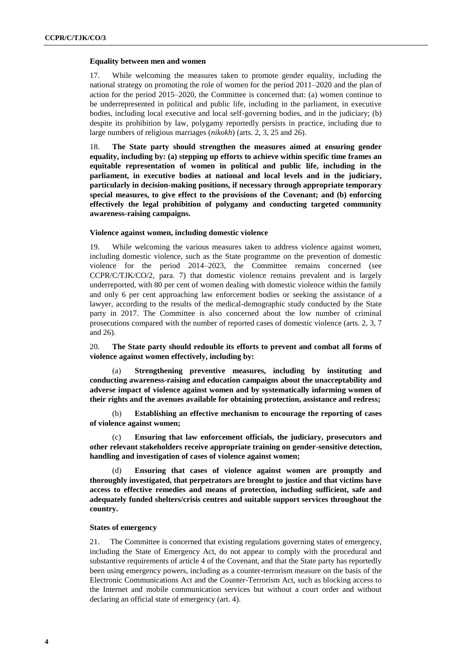## **Equality between men and women**

17. While welcoming the measures taken to promote gender equality, including the national strategy on promoting the role of women for the period 2011–2020 and the plan of action for the period 2015–2020, the Committee is concerned that: (a) women continue to be underrepresented in political and public life, including in the parliament, in executive bodies, including local executive and local self-governing bodies, and in the judiciary; (b) despite its prohibition by law, polygamy reportedly persists in practice, including due to large numbers of religious marriages (*nikokh*) (arts. 2, 3, 25 and 26).

18. **The State party should strengthen the measures aimed at ensuring gender equality, including by: (a) stepping up efforts to achieve within specific time frames an equitable representation of women in political and public life, including in the parliament, in executive bodies at national and local levels and in the judiciary, particularly in decision-making positions, if necessary through appropriate temporary special measures, to give effect to the provisions of the Covenant; and (b) enforcing effectively the legal prohibition of polygamy and conducting targeted community awareness-raising campaigns.** 

## **Violence against women, including domestic violence**

19. While welcoming the various measures taken to address violence against women, including domestic violence, such as the State programme on the prevention of domestic violence for the period 2014–2023, the Committee remains concerned (see CCPR/C/TJK/CO/2, para. 7) that domestic violence remains prevalent and is largely underreported, with 80 per cent of women dealing with domestic violence within the family and only 6 per cent approaching law enforcement bodies or seeking the assistance of a lawyer, according to the results of the medical-demographic study conducted by the State party in 2017. The Committee is also concerned about the low number of criminal prosecutions compared with the number of reported cases of domestic violence (arts. 2, 3, 7 and 26).

20. **The State party should redouble its efforts to prevent and combat all forms of violence against women effectively, including by:**

(a) **Strengthening preventive measures, including by instituting and conducting awareness-raising and education campaigns about the unacceptability and adverse impact of violence against women and by systematically informing women of their rights and the avenues available for obtaining protection, assistance and redress;**

(b) **Establishing an effective mechanism to encourage the reporting of cases of violence against women;**

(c) **Ensuring that law enforcement officials, the judiciary, prosecutors and other relevant stakeholders receive appropriate training on gender-sensitive detection, handling and investigation of cases of violence against women;**

(d) **Ensuring that cases of violence against women are promptly and thoroughly investigated, that perpetrators are brought to justice and that victims have access to effective remedies and means of protection, including sufficient, safe and adequately funded shelters/crisis centres and suitable support services throughout the country.**

#### **States of emergency**

21. The Committee is concerned that existing regulations governing states of emergency, including the State of Emergency Act, do not appear to comply with the procedural and substantive requirements of article 4 of the Covenant, and that the State party has reportedly been using emergency powers, including as a counter-terrorism measure on the basis of the Electronic Communications Act and the Counter-Terrorism Act, such as blocking access to the Internet and mobile communication services but without a court order and without declaring an official state of emergency (art. 4).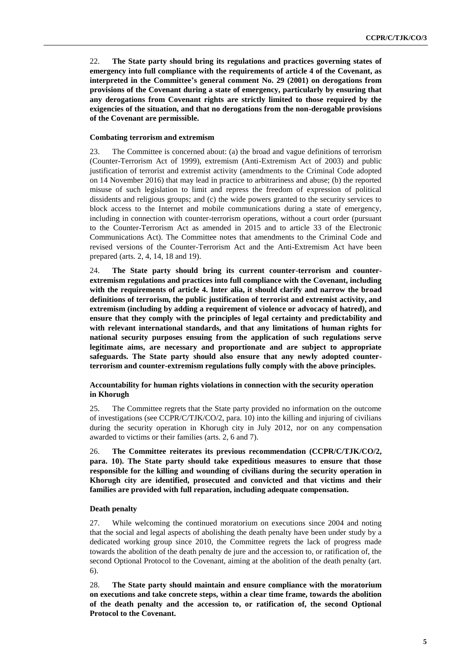22. **The State party should bring its regulations and practices governing states of emergency into full compliance with the requirements of article 4 of the Covenant, as interpreted in the Committee's general comment No. 29 (2001) on derogations from provisions of the Covenant during a state of emergency, particularly by ensuring that any derogations from Covenant rights are strictly limited to those required by the exigencies of the situation, and that no derogations from the non-derogable provisions of the Covenant are permissible.**

## **Combating terrorism and extremism**

23. The Committee is concerned about: (a) the broad and vague definitions of terrorism (Counter-Terrorism Act of 1999), extremism (Anti-Extremism Act of 2003) and public justification of terrorist and extremist activity (amendments to the Criminal Code adopted on 14 November 2016) that may lead in practice to arbitrariness and abuse; (b) the reported misuse of such legislation to limit and repress the freedom of expression of political dissidents and religious groups; and (c) the wide powers granted to the security services to block access to the Internet and mobile communications during a state of emergency, including in connection with counter-terrorism operations, without a court order (pursuant to the Counter-Terrorism Act as amended in 2015 and to article 33 of the Electronic Communications Act). The Committee notes that amendments to the Criminal Code and revised versions of the Counter-Terrorism Act and the Anti-Extremism Act have been prepared (arts. 2, 4, 14, 18 and 19).

24. **The State party should bring its current counter-terrorism and counterextremism regulations and practices into full compliance with the Covenant, including with the requirements of article 4. Inter alia, it should clarify and narrow the broad definitions of terrorism, the public justification of terrorist and extremist activity, and extremism (including by adding a requirement of violence or advocacy of hatred), and ensure that they comply with the principles of legal certainty and predictability and with relevant international standards, and that any limitations of human rights for national security purposes ensuing from the application of such regulations serve legitimate aims, are necessary and proportionate and are subject to appropriate safeguards. The State party should also ensure that any newly adopted counterterrorism and counter-extremism regulations fully comply with the above principles.**

## **Accountability for human rights violations in connection with the security operation in Khorugh**

25. The Committee regrets that the State party provided no information on the outcome of investigations (see CCPR/C/TJK/CO/2, para. 10) into the killing and injuring of civilians during the security operation in Khorugh city in July 2012, nor on any compensation awarded to victims or their families (arts. 2, 6 and 7).

26. **The Committee reiterates its previous recommendation (CCPR/C/TJK/CO/2, para. 10). The State party should take expeditious measures to ensure that those responsible for the killing and wounding of civilians during the security operation in Khorugh city are identified, prosecuted and convicted and that victims and their families are provided with full reparation, including adequate compensation.** 

#### **Death penalty**

27. While welcoming the continued moratorium on executions since 2004 and noting that the social and legal aspects of abolishing the death penalty have been under study by a dedicated working group since 2010, the Committee regrets the lack of progress made towards the abolition of the death penalty de jure and the accession to, or ratification of, the second Optional Protocol to the Covenant, aiming at the abolition of the death penalty (art. 6).

28. **The State party should maintain and ensure compliance with the moratorium on executions and take concrete steps, within a clear time frame, towards the abolition of the death penalty and the accession to, or ratification of, the second Optional Protocol to the Covenant.**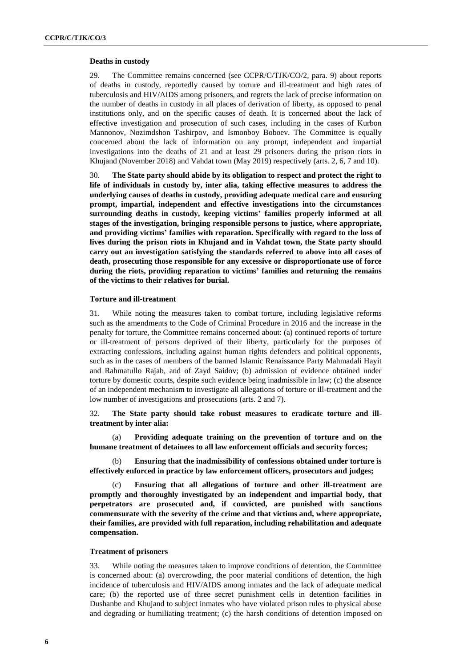#### **Deaths in custody**

29. The Committee remains concerned (see CCPR/C/TJK/CO/2, para. 9) about reports of deaths in custody, reportedly caused by torture and ill-treatment and high rates of tuberculosis and HIV/AIDS among prisoners, and regrets the lack of precise information on the number of deaths in custody in all places of derivation of liberty, as opposed to penal institutions only, and on the specific causes of death. It is concerned about the lack of effective investigation and prosecution of such cases, including in the cases of Kurbon Mannonov, Nozimdshon Tashirpov, and Ismonboy Boboev. The Committee is equally concerned about the lack of information on any prompt, independent and impartial investigations into the deaths of 21 and at least 29 prisoners during the prison riots in Khujand (November 2018) and Vahdat town (May 2019) respectively (arts. 2, 6, 7 and 10).

30. **The State party should abide by its obligation to respect and protect the right to life of individuals in custody by, inter alia, taking effective measures to address the underlying causes of deaths in custody, providing adequate medical care and ensuring prompt, impartial, independent and effective investigations into the circumstances surrounding deaths in custody, keeping victims' families properly informed at all stages of the investigation, bringing responsible persons to justice, where appropriate, and providing victims' families with reparation. Specifically with regard to the loss of lives during the prison riots in Khujand and in Vahdat town, the State party should carry out an investigation satisfying the standards referred to above into all cases of death, prosecuting those responsible for any excessive or disproportionate use of force during the riots, providing reparation to victims' families and returning the remains of the victims to their relatives for burial.** 

### **Torture and ill-treatment**

31. While noting the measures taken to combat torture, including legislative reforms such as the amendments to the Code of Criminal Procedure in 2016 and the increase in the penalty for torture, the Committee remains concerned about: (a) continued reports of torture or ill-treatment of persons deprived of their liberty, particularly for the purposes of extracting confessions, including against human rights defenders and political opponents, such as in the cases of members of the banned Islamic Renaissance Party Mahmadali Hayit and Rahmatullo Rajab, and of Zayd Saidov; (b) admission of evidence obtained under torture by domestic courts, despite such evidence being inadmissible in law; (c) the absence of an independent mechanism to investigate all allegations of torture or ill-treatment and the low number of investigations and prosecutions (arts. 2 and 7).

## 32. **The State party should take robust measures to eradicate torture and illtreatment by inter alia:**

(a) **Providing adequate training on the prevention of torture and on the humane treatment of detainees to all law enforcement officials and security forces;**

(b) **Ensuring that the inadmissibility of confessions obtained under torture is effectively enforced in practice by law enforcement officers, prosecutors and judges;**

(c) **Ensuring that all allegations of torture and other ill-treatment are promptly and thoroughly investigated by an independent and impartial body, that perpetrators are prosecuted and, if convicted, are punished with sanctions commensurate with the severity of the crime and that victims and, where appropriate, their families, are provided with full reparation, including rehabilitation and adequate compensation.**

#### **Treatment of prisoners**

33. While noting the measures taken to improve conditions of detention, the Committee is concerned about: (a) overcrowding, the poor material conditions of detention, the high incidence of tuberculosis and HIV/AIDS among inmates and the lack of adequate medical care; (b) the reported use of three secret punishment cells in detention facilities in Dushanbe and Khujand to subject inmates who have violated prison rules to physical abuse and degrading or humiliating treatment; (c) the harsh conditions of detention imposed on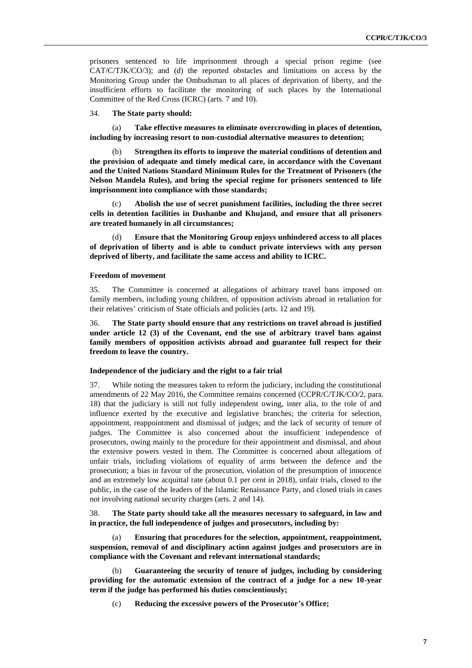prisoners sentenced to life imprisonment through a special prison regime (see CAT/C/TJK/CO/3); and (d) the reported obstacles and limitations on access by the Monitoring Group under the Ombudsman to all places of deprivation of liberty, and the insufficient efforts to facilitate the monitoring of such places by the International Committee of the Red Cross (ICRC) (arts. 7 and 10).

#### 34. **The State party should:**

(a) **Take effective measures to eliminate overcrowding in places of detention, including by increasing resort to non-custodial alternative measures to detention;** 

Strengthen its efforts to improve the material conditions of detention and **the provision of adequate and timely medical care, in accordance with the Covenant and the United Nations Standard Minimum Rules for the Treatment of Prisoners (the Nelson Mandela Rules), and bring the special regime for prisoners sentenced to life imprisonment into compliance with those standards;** 

(c) **Abolish the use of secret punishment facilities, including the three secret cells in detention facilities in Dushanbe and Khujand, and ensure that all prisoners are treated humanely in all circumstances;**

(d) **Ensure that the Monitoring Group enjoys unhindered access to all places of deprivation of liberty and is able to conduct private interviews with any person deprived of liberty, and facilitate the same access and ability to ICRC.** 

## **Freedom of movement**

35. The Committee is concerned at allegations of arbitrary travel bans imposed on family members, including young children, of opposition activists abroad in retaliation for their relatives' criticism of State officials and policies (arts. 12 and 19).

36. **The State party should ensure that any restrictions on travel abroad is justified under article 12 (3) of the Covenant, end the use of arbitrary travel bans against family members of opposition activists abroad and guarantee full respect for their freedom to leave the country.** 

## **Independence of the judiciary and the right to a fair trial**

37. While noting the measures taken to reform the judiciary, including the constitutional amendments of 22 May 2016, the Committee remains concerned (CCPR/C/TJK/CO/2, para. 18) that the judiciary is still not fully independent owing, inter alia, to the role of and influence exerted by the executive and legislative branches; the criteria for selection, appointment, reappointment and dismissal of judges; and the lack of security of tenure of judges. The Committee is also concerned about the insufficient independence of prosecutors, owing mainly to the procedure for their appointment and dismissal, and about the extensive powers vested in them. The Committee is concerned about allegations of unfair trials, including violations of equality of arms between the defence and the prosecution; a bias in favour of the prosecution, violation of the presumption of innocence and an extremely low acquittal rate (about 0.1 per cent in 2018), unfair trials, closed to the public, in the case of the leaders of the Islamic Renaissance Party, and closed trials in cases not involving national security charges (arts. 2 and 14).

38. **The State party should take all the measures necessary to safeguard, in law and in practice, the full independence of judges and prosecutors, including by:**

(a) **Ensuring that procedures for the selection, appointment, reappointment, suspension, removal of and disciplinary action against judges and prosecutors are in compliance with the Covenant and relevant international standards;** 

(b) **Guaranteeing the security of tenure of judges, including by considering providing for the automatic extension of the contract of a judge for a new 10-year term if the judge has performed his duties conscientiously;** 

(c) **Reducing the excessive powers of the Prosecutor's Office;**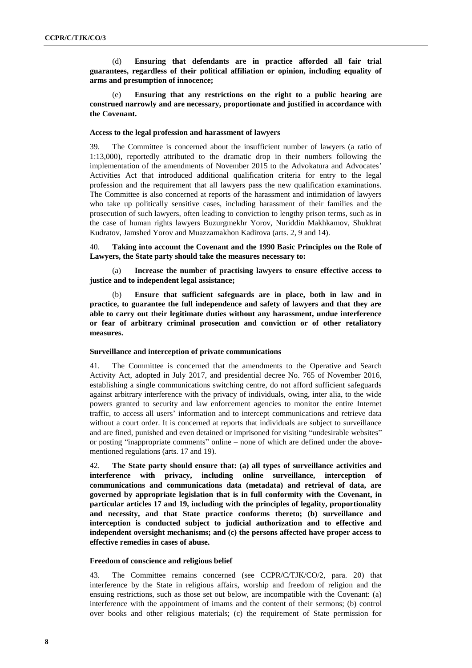(d) **Ensuring that defendants are in practice afforded all fair trial guarantees, regardless of their political affiliation or opinion, including equality of arms and presumption of innocence;**

(e) **Ensuring that any restrictions on the right to a public hearing are construed narrowly and are necessary, proportionate and justified in accordance with the Covenant.**

#### **Access to the legal profession and harassment of lawyers**

39. The Committee is concerned about the insufficient number of lawyers (a ratio of 1:13,000), reportedly attributed to the dramatic drop in their numbers following the implementation of the amendments of November 2015 to the Advokatura and Advocates' Activities Act that introduced additional qualification criteria for entry to the legal profession and the requirement that all lawyers pass the new qualification examinations. The Committee is also concerned at reports of the harassment and intimidation of lawyers who take up politically sensitive cases, including harassment of their families and the prosecution of such lawyers, often leading to conviction to lengthy prison terms, such as in the case of human rights lawyers Buzurgmekhr Yorov, Nuriddin Makhkamov, Shukhrat Kudratov, Jamshed Yorov and Muazzamakhon Kadirova (arts. 2, 9 and 14).

40. **Taking into account the Covenant and the 1990 Basic Principles on the Role of Lawyers, the State party should take the measures necessary to:**

(a) **Increase the number of practising lawyers to ensure effective access to justice and to independent legal assistance;** 

(b) **Ensure that sufficient safeguards are in place, both in law and in practice, to guarantee the full independence and safety of lawyers and that they are able to carry out their legitimate duties without any harassment, undue interference or fear of arbitrary criminal prosecution and conviction or of other retaliatory measures.**

#### **Surveillance and interception of private communications**

41. The Committee is concerned that the amendments to the Operative and Search Activity Act, adopted in July 2017, and presidential decree No. 765 of November 2016, establishing a single communications switching centre, do not afford sufficient safeguards against arbitrary interference with the privacy of individuals, owing, inter alia, to the wide powers granted to security and law enforcement agencies to monitor the entire Internet traffic, to access all users' information and to intercept communications and retrieve data without a court order. It is concerned at reports that individuals are subject to surveillance and are fined, punished and even detained or imprisoned for visiting "undesirable websites" or posting "inappropriate comments" online – none of which are defined under the abovementioned regulations (arts. 17 and 19).

42. **The State party should ensure that: (a) all types of surveillance activities and interference with privacy, including online surveillance, interception of communications and communications data (metadata) and retrieval of data, are governed by appropriate legislation that is in full conformity with the Covenant, in particular articles 17 and 19, including with the principles of legality, proportionality and necessity, and that State practice conforms thereto; (b) surveillance and interception is conducted subject to judicial authorization and to effective and independent oversight mechanisms; and (c) the persons affected have proper access to effective remedies in cases of abuse.**

#### **Freedom of conscience and religious belief**

43. The Committee remains concerned (see CCPR/C/TJK/CO/2, para. 20) that interference by the State in religious affairs, worship and freedom of religion and the ensuing restrictions, such as those set out below, are incompatible with the Covenant: (a) interference with the appointment of imams and the content of their sermons; (b) control over books and other religious materials; (c) the requirement of State permission for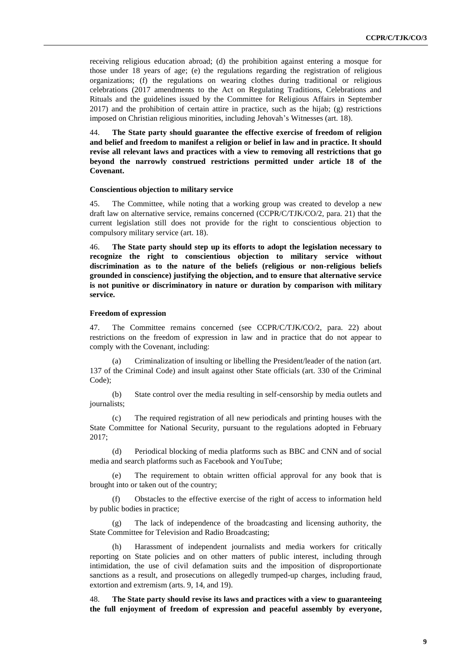receiving religious education abroad; (d) the prohibition against entering a mosque for those under 18 years of age; (e) the regulations regarding the registration of religious organizations; (f) the regulations on wearing clothes during traditional or religious celebrations (2017 amendments to the Act on Regulating Traditions, Celebrations and Rituals and the guidelines issued by the Committee for Religious Affairs in September 2017) and the prohibition of certain attire in practice, such as the hijab; (g) restrictions imposed on Christian religious minorities, including Jehovah's Witnesses (art. 18).

44. **The State party should guarantee the effective exercise of freedom of religion and belief and freedom to manifest a religion or belief in law and in practice. It should revise all relevant laws and practices with a view to removing all restrictions that go beyond the narrowly construed restrictions permitted under article 18 of the Covenant.**

#### **Conscientious objection to military service**

45. The Committee, while noting that a working group was created to develop a new draft law on alternative service, remains concerned (CCPR/C/TJK/CO/2, para. 21) that the current legislation still does not provide for the right to conscientious objection to compulsory military service (art. 18).

46. **The State party should step up its efforts to adopt the legislation necessary to recognize the right to conscientious objection to military service without discrimination as to the nature of the beliefs (religious or non-religious beliefs grounded in conscience) justifying the objection, and to ensure that alternative service is not punitive or discriminatory in nature or duration by comparison with military service.**

#### **Freedom of expression**

47. The Committee remains concerned (see CCPR/C/TJK/CO/2, para. 22) about restrictions on the freedom of expression in law and in practice that do not appear to comply with the Covenant, including:

(a) Criminalization of insulting or libelling the President/leader of the nation (art. 137 of the Criminal Code) and insult against other State officials (art. 330 of the Criminal Code);

(b) State control over the media resulting in self-censorship by media outlets and journalists;

(c) The required registration of all new periodicals and printing houses with the State Committee for National Security, pursuant to the regulations adopted in February 2017;

(d) Periodical blocking of media platforms such as BBC and CNN and of social media and search platforms such as Facebook and YouTube;

(e) The requirement to obtain written official approval for any book that is brought into or taken out of the country;

(f) Obstacles to the effective exercise of the right of access to information held by public bodies in practice;

(g) The lack of independence of the broadcasting and licensing authority, the State Committee for Television and Radio Broadcasting;

Harassment of independent journalists and media workers for critically reporting on State policies and on other matters of public interest, including through intimidation, the use of civil defamation suits and the imposition of disproportionate sanctions as a result, and prosecutions on allegedly trumped-up charges, including fraud, extortion and extremism (arts. 9, 14, and 19).

48. **The State party should revise its laws and practices with a view to guaranteeing the full enjoyment of freedom of expression and peaceful assembly by everyone,**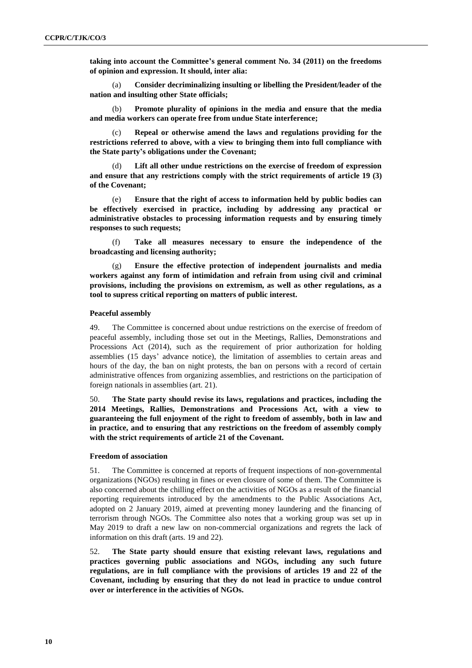**taking into account the Committee's general comment No. 34 (2011) on the freedoms of opinion and expression. It should, inter alia:**

(a) **Consider decriminalizing insulting or libelling the President/leader of the nation and insulting other State officials;**

(b) **Promote plurality of opinions in the media and ensure that the media and media workers can operate free from undue State interference;**

Repeal or otherwise amend the laws and regulations providing for the **restrictions referred to above, with a view to bringing them into full compliance with the State party's obligations under the Covenant;**

(d) **Lift all other undue restrictions on the exercise of freedom of expression and ensure that any restrictions comply with the strict requirements of article 19 (3) of the Covenant;**

(e) **Ensure that the right of access to information held by public bodies can be effectively exercised in practice, including by addressing any practical or administrative obstacles to processing information requests and by ensuring timely responses to such requests;** 

(f) **Take all measures necessary to ensure the independence of the broadcasting and licensing authority;**

(g) **Ensure the effective protection of independent journalists and media workers against any form of intimidation and refrain from using civil and criminal provisions, including the provisions on extremism, as well as other regulations, as a tool to supress critical reporting on matters of public interest.**

#### **Peaceful assembly**

49. The Committee is concerned about undue restrictions on the exercise of freedom of peaceful assembly, including those set out in the Meetings, Rallies, Demonstrations and Processions Act (2014), such as the requirement of prior authorization for holding assemblies (15 days' advance notice), the limitation of assemblies to certain areas and hours of the day, the ban on night protests, the ban on persons with a record of certain administrative offences from organizing assemblies, and restrictions on the participation of foreign nationals in assemblies (art. 21).

50. **The State party should revise its laws, regulations and practices, including the 2014 Meetings, Rallies, Demonstrations and Processions Act, with a view to guaranteeing the full enjoyment of the right to freedom of assembly, both in law and in practice, and to ensuring that any restrictions on the freedom of assembly comply with the strict requirements of article 21 of the Covenant.**

#### **Freedom of association**

51. The Committee is concerned at reports of frequent inspections of non-governmental organizations (NGOs) resulting in fines or even closure of some of them. The Committee is also concerned about the chilling effect on the activities of NGOs as a result of the financial reporting requirements introduced by the amendments to the Public Associations Act, adopted on 2 January 2019, aimed at preventing money laundering and the financing of terrorism through NGOs. The Committee also notes that a working group was set up in May 2019 to draft a new law on non-commercial organizations and regrets the lack of information on this draft (arts. 19 and 22).

52. **The State party should ensure that existing relevant laws, regulations and practices governing public associations and NGOs, including any such future regulations, are in full compliance with the provisions of articles 19 and 22 of the Covenant, including by ensuring that they do not lead in practice to undue control over or interference in the activities of NGOs.**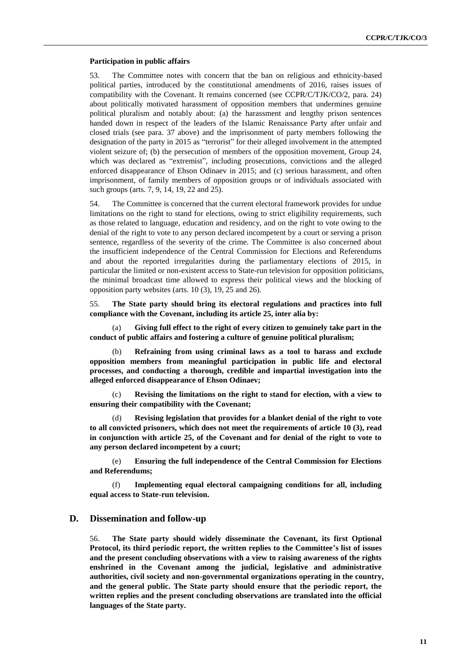#### **Participation in public affairs**

53. The Committee notes with concern that the ban on religious and ethnicity-based political parties, introduced by the constitutional amendments of 2016, raises issues of compatibility with the Covenant. It remains concerned (see CCPR/C/TJK/CO/2, para. 24) about politically motivated harassment of opposition members that undermines genuine political pluralism and notably about: (a) the harassment and lengthy prison sentences handed down in respect of the leaders of the Islamic Renaissance Party after unfair and closed trials (see para. 37 above) and the imprisonment of party members following the designation of the party in 2015 as "terrorist" for their alleged involvement in the attempted violent seizure of; (b) the persecution of members of the opposition movement, Group 24, which was declared as "extremist", including prosecutions, convictions and the alleged enforced disappearance of Ehson Odinaev in 2015; and (c) serious harassment, and often imprisonment, of family members of opposition groups or of individuals associated with such groups (arts. 7, 9, 14, 19, 22 and 25).

54. The Committee is concerned that the current electoral framework provides for undue limitations on the right to stand for elections, owing to strict eligibility requirements, such as those related to language, education and residency, and on the right to vote owing to the denial of the right to vote to any person declared incompetent by a court or serving a prison sentence, regardless of the severity of the crime. The Committee is also concerned about the insufficient independence of the Central Commission for Elections and Referendums and about the reported irregularities during the parliamentary elections of 2015, in particular the limited or non-existent access to State-run television for opposition politicians, the minimal broadcast time allowed to express their political views and the blocking of opposition party websites (arts. 10 (3), 19, 25 and 26).

55. **The State party should bring its electoral regulations and practices into full compliance with the Covenant, including its article 25, inter alia by:** 

(a) **Giving full effect to the right of every citizen to genuinely take part in the conduct of public affairs and fostering a culture of genuine political pluralism;** 

(b) **Refraining from using criminal laws as a tool to harass and exclude opposition members from meaningful participation in public life and electoral processes, and conducting a thorough, credible and impartial investigation into the alleged enforced disappearance of Ehson Odinaev;**

(c) **Revising the limitations on the right to stand for election, with a view to ensuring their compatibility with the Covenant;**

Revising legislation that provides for a blanket denial of the right to vote **to all convicted prisoners, which does not meet the requirements of article 10 (3), read in conjunction with article 25, of the Covenant and for denial of the right to vote to any person declared incompetent by a court;**

(e) **Ensuring the full independence of the Central Commission for Elections and Referendums;**

(f) **Implementing equal electoral campaigning conditions for all, including equal access to State-run television.**

### **D. Dissemination and follow-up**

56. **The State party should widely disseminate the Covenant, its first Optional Protocol, its third periodic report, the written replies to the Committee's list of issues and the present concluding observations with a view to raising awareness of the rights enshrined in the Covenant among the judicial, legislative and administrative authorities, civil society and non-governmental organizations operating in the country, and the general public. The State party should ensure that the periodic report, the written replies and the present concluding observations are translated into the official languages of the State party.**